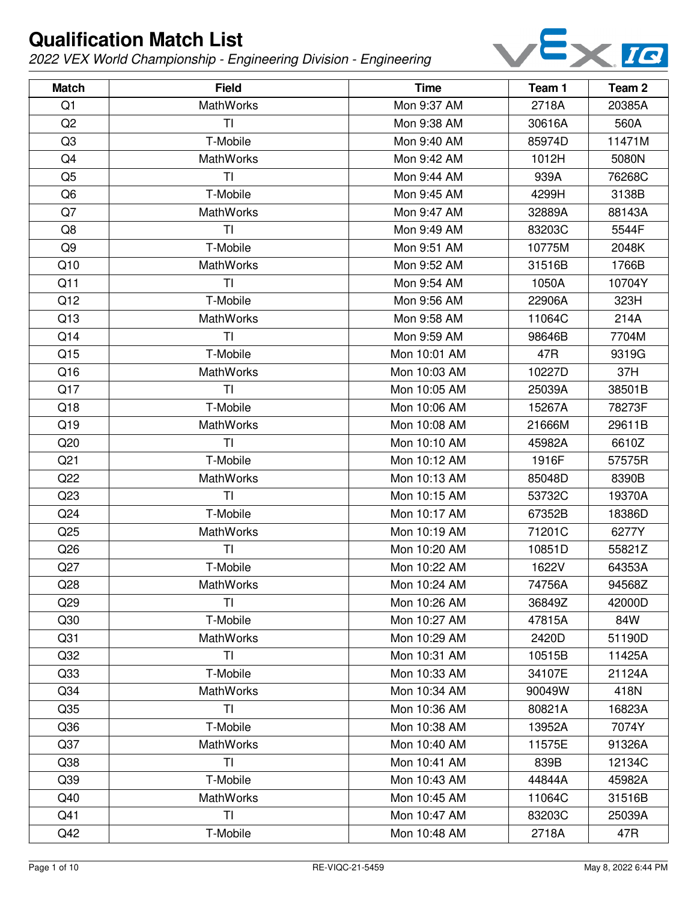

| <b>Match</b>    | <b>Field</b>     | <b>Time</b>  | Team 1 | Team <sub>2</sub> |
|-----------------|------------------|--------------|--------|-------------------|
| Q <sub>1</sub>  | <b>MathWorks</b> | Mon 9:37 AM  | 2718A  | 20385A            |
| Q <sub>2</sub>  | ΤI               | Mon 9:38 AM  | 30616A | 560A              |
| Q3              | T-Mobile         | Mon 9:40 AM  | 85974D | 11471M            |
| Q4              | <b>MathWorks</b> | Mon 9:42 AM  | 1012H  | 5080N             |
| Q <sub>5</sub>  | TI               | Mon 9:44 AM  | 939A   | 76268C            |
| Q <sub>6</sub>  | T-Mobile         | Mon 9:45 AM  | 4299H  | 3138B             |
| Q7              | MathWorks        | Mon 9:47 AM  | 32889A | 88143A            |
| Q8              | TI               | Mon 9:49 AM  | 83203C | 5544F             |
| Q9              | T-Mobile         | Mon 9:51 AM  | 10775M | 2048K             |
| Q10             | MathWorks        | Mon 9:52 AM  | 31516B | 1766B             |
| Q11             | TI               | Mon 9:54 AM  | 1050A  | 10704Y            |
| Q12             | T-Mobile         | Mon 9:56 AM  | 22906A | 323H              |
| Q13             | MathWorks        | Mon 9:58 AM  | 11064C | 214A              |
| Q14             | <b>TI</b>        | Mon 9:59 AM  | 98646B | 7704M             |
| Q15             | T-Mobile         | Mon 10:01 AM | 47R    | 9319G             |
| Q16             | MathWorks        | Mon 10:03 AM | 10227D | 37H               |
| Q17             | <b>TI</b>        | Mon 10:05 AM | 25039A | 38501B            |
| Q18             | T-Mobile         | Mon 10:06 AM | 15267A | 78273F            |
| Q19             | MathWorks        | Mon 10:08 AM | 21666M | 29611B            |
| Q20             | TI               | Mon 10:10 AM | 45982A | 6610Z             |
| Q <sub>21</sub> | T-Mobile         | Mon 10:12 AM | 1916F  | 57575R            |
| Q22             | MathWorks        | Mon 10:13 AM | 85048D | 8390B             |
| Q <sub>23</sub> | TI               | Mon 10:15 AM | 53732C | 19370A            |
| Q <sub>24</sub> | T-Mobile         | Mon 10:17 AM | 67352B | 18386D            |
| Q <sub>25</sub> | MathWorks        | Mon 10:19 AM | 71201C | 6277Y             |
| Q <sub>26</sub> | TI               | Mon 10:20 AM | 10851D | 55821Z            |
| Q27             | T-Mobile         | Mon 10:22 AM | 1622V  | 64353A            |
| Q28             | MathWorks        | Mon 10:24 AM | 74756A | 94568Z            |
| Q <sub>29</sub> | TI               | Mon 10:26 AM | 36849Z | 42000D            |
| Q30             | T-Mobile         | Mon 10:27 AM | 47815A | 84W               |
| Q <sub>31</sub> | <b>MathWorks</b> | Mon 10:29 AM | 2420D  | 51190D            |
| Q <sub>32</sub> | TI               | Mon 10:31 AM | 10515B | 11425A            |
| Q <sub>33</sub> | T-Mobile         | Mon 10:33 AM | 34107E | 21124A            |
| Q <sub>34</sub> | MathWorks        | Mon 10:34 AM | 90049W | 418N              |
| Q <sub>35</sub> | TI               | Mon 10:36 AM | 80821A | 16823A            |
| Q36             | T-Mobile         | Mon 10:38 AM | 13952A | 7074Y             |
| Q <sub>37</sub> | MathWorks        | Mon 10:40 AM | 11575E | 91326A            |
| Q <sub>38</sub> | TI               | Mon 10:41 AM | 839B   | 12134C            |
| Q <sub>39</sub> | T-Mobile         | Mon 10:43 AM | 44844A | 45982A            |
| Q40             | MathWorks        | Mon 10:45 AM | 11064C | 31516B            |
| Q41             | TI               | Mon 10:47 AM | 83203C | 25039A            |
| Q42             | T-Mobile         | Mon 10:48 AM | 2718A  | 47R               |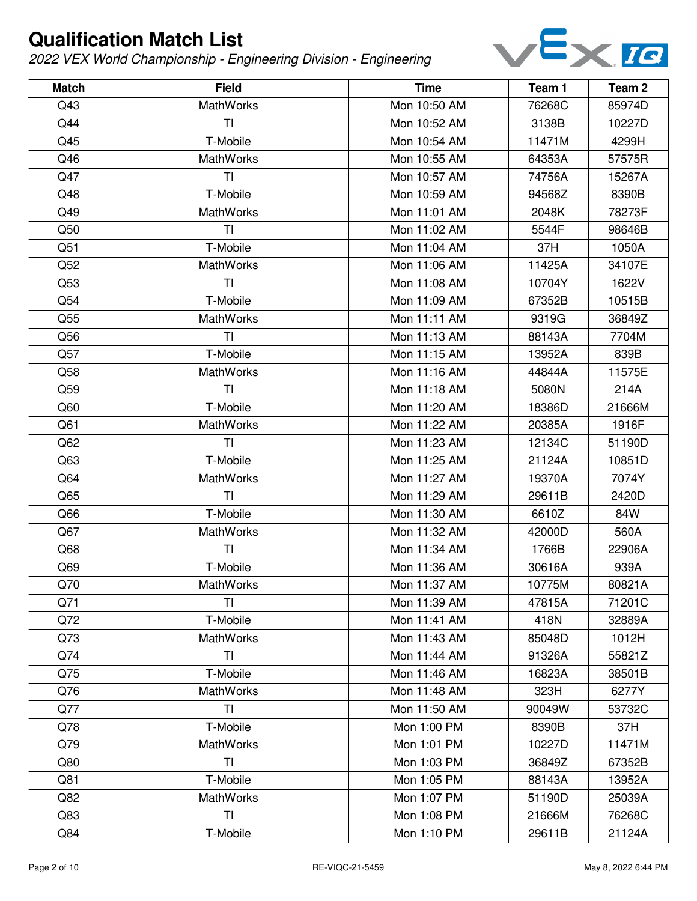

| <b>Match</b> | <b>Field</b>     | <b>Time</b>  | Team 1 | Team <sub>2</sub> |
|--------------|------------------|--------------|--------|-------------------|
| Q43          | MathWorks        | Mon 10:50 AM | 76268C | 85974D            |
| Q44          | TI               | Mon 10:52 AM | 3138B  | 10227D            |
| Q45          | T-Mobile         | Mon 10:54 AM | 11471M | 4299H             |
| Q46          | <b>MathWorks</b> | Mon 10:55 AM | 64353A | 57575R            |
| Q47          | ΤI               | Mon 10:57 AM | 74756A | 15267A            |
| Q48          | T-Mobile         | Mon 10:59 AM | 94568Z | 8390B             |
| Q49          | <b>MathWorks</b> | Mon 11:01 AM | 2048K  | 78273F            |
| Q50          | TI               | Mon 11:02 AM | 5544F  | 98646B            |
| Q51          | T-Mobile         | Mon 11:04 AM | 37H    | 1050A             |
| Q52          | MathWorks        | Mon 11:06 AM | 11425A | 34107E            |
| Q53          | TI               | Mon 11:08 AM | 10704Y | 1622V             |
| Q54          | T-Mobile         | Mon 11:09 AM | 67352B | 10515B            |
| Q55          | MathWorks        | Mon 11:11 AM | 9319G  | 36849Z            |
| Q56          | <b>TI</b>        | Mon 11:13 AM | 88143A | 7704M             |
| Q57          | T-Mobile         | Mon 11:15 AM | 13952A | 839B              |
| Q58          | MathWorks        | Mon 11:16 AM | 44844A | 11575E            |
| Q59          | TI               | Mon 11:18 AM | 5080N  | 214A              |
| Q60          | T-Mobile         | Mon 11:20 AM | 18386D | 21666M            |
| Q61          | MathWorks        | Mon 11:22 AM | 20385A | 1916F             |
| Q62          | TI               | Mon 11:23 AM | 12134C | 51190D            |
| Q63          | T-Mobile         | Mon 11:25 AM | 21124A | 10851D            |
| Q64          | MathWorks        | Mon 11:27 AM | 19370A | 7074Y             |
| Q65          | TI               | Mon 11:29 AM | 29611B | 2420D             |
| Q66          | T-Mobile         | Mon 11:30 AM | 6610Z  | 84W               |
| Q67          | MathWorks        | Mon 11:32 AM | 42000D | 560A              |
| Q68          | TI               | Mon 11:34 AM | 1766B  | 22906A            |
| Q69          | T-Mobile         | Mon 11:36 AM | 30616A | 939A              |
| Q70          | MathWorks        | Mon 11:37 AM | 10775M | 80821A            |
| Q71          | TI               | Mon 11:39 AM | 47815A | 71201C            |
| Q72          | T-Mobile         | Mon 11:41 AM | 418N   | 32889A            |
| Q73          | <b>MathWorks</b> | Mon 11:43 AM | 85048D | 1012H             |
| Q74          | TI               | Mon 11:44 AM | 91326A | 55821Z            |
| Q75          | T-Mobile         | Mon 11:46 AM | 16823A | 38501B            |
| Q76          | <b>MathWorks</b> | Mon 11:48 AM | 323H   | 6277Y             |
| Q77          | TI               | Mon 11:50 AM | 90049W | 53732C            |
| Q78          | T-Mobile         | Mon 1:00 PM  | 8390B  | 37H               |
| Q79          | <b>MathWorks</b> | Mon 1:01 PM  | 10227D | 11471M            |
| Q80          | TI               | Mon 1:03 PM  | 36849Z | 67352B            |
| Q81          | T-Mobile         | Mon 1:05 PM  | 88143A | 13952A            |
| Q82          | MathWorks        | Mon 1:07 PM  | 51190D | 25039A            |
| Q83          | TI               | Mon 1:08 PM  | 21666M | 76268C            |
| Q84          | T-Mobile         | Mon 1:10 PM  | 29611B | 21124A            |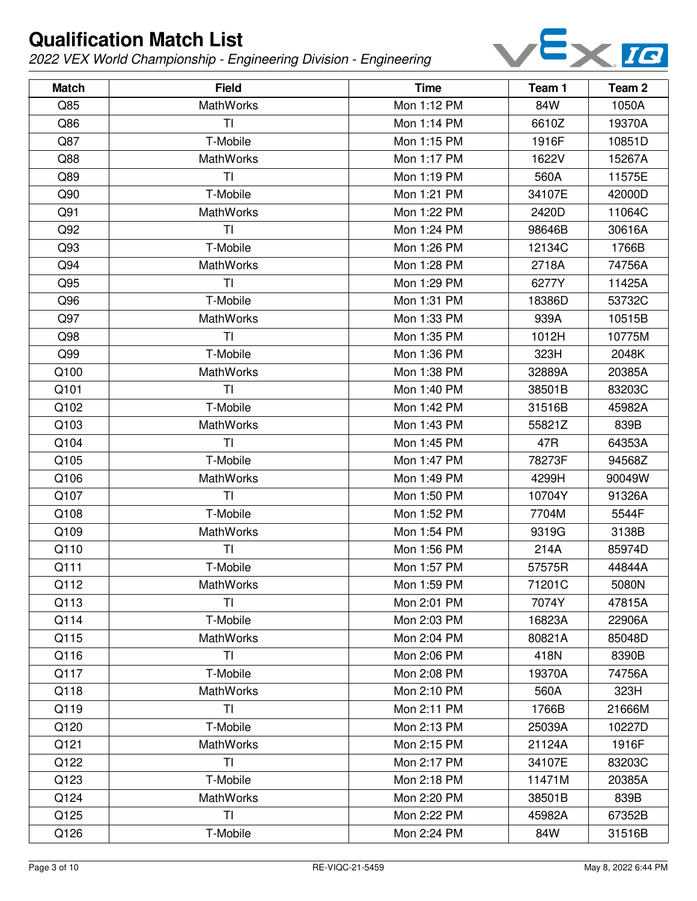

| <b>Match</b> | <b>Field</b>     | <b>Time</b> | Team 1 | Team <sub>2</sub> |
|--------------|------------------|-------------|--------|-------------------|
| Q85          | <b>MathWorks</b> | Mon 1:12 PM | 84W    | 1050A             |
| Q86          | TI               | Mon 1:14 PM | 6610Z  | 19370A            |
| Q87          | T-Mobile         | Mon 1:15 PM | 1916F  | 10851D            |
| Q88          | <b>MathWorks</b> | Mon 1:17 PM | 1622V  | 15267A            |
| Q89          | TI               | Mon 1:19 PM | 560A   | 11575E            |
| Q90          | T-Mobile         | Mon 1:21 PM | 34107E | 42000D            |
| Q91          | <b>MathWorks</b> | Mon 1:22 PM | 2420D  | 11064C            |
| Q92          | T <sub>l</sub>   | Mon 1:24 PM | 98646B | 30616A            |
| Q93          | T-Mobile         | Mon 1:26 PM | 12134C | 1766B             |
| Q94          | MathWorks        | Mon 1:28 PM | 2718A  | 74756A            |
| Q95          | TI               | Mon 1:29 PM | 6277Y  | 11425A            |
| Q96          | T-Mobile         | Mon 1:31 PM | 18386D | 53732C            |
| Q97          | MathWorks        | Mon 1:33 PM | 939A   | 10515B            |
| Q98          | TI               | Mon 1:35 PM | 1012H  | 10775M            |
| Q99          | T-Mobile         | Mon 1:36 PM | 323H   | 2048K             |
| Q100         | MathWorks        | Mon 1:38 PM | 32889A | 20385A            |
| Q101         | TI               | Mon 1:40 PM | 38501B | 83203C            |
| Q102         | T-Mobile         | Mon 1:42 PM | 31516B | 45982A            |
| Q103         | MathWorks        | Mon 1:43 PM | 55821Z | 839B              |
| Q104         | TI               | Mon 1:45 PM | 47R    | 64353A            |
| Q105         | T-Mobile         | Mon 1:47 PM | 78273F | 94568Z            |
| Q106         | MathWorks        | Mon 1:49 PM | 4299H  | 90049W            |
| Q107         | T1               | Mon 1:50 PM | 10704Y | 91326A            |
| Q108         | T-Mobile         | Mon 1:52 PM | 7704M  | 5544F             |
| Q109         | MathWorks        | Mon 1:54 PM | 9319G  | 3138B             |
| Q110         | TI               | Mon 1:56 PM | 214A   | 85974D            |
| Q111         | T-Mobile         | Mon 1:57 PM | 57575R | 44844A            |
| Q112         | MathWorks        | Mon 1:59 PM | 71201C | 5080N             |
| Q113         | T <sub>l</sub>   | Mon 2:01 PM | 7074Y  | 47815A            |
| Q114         | T-Mobile         | Mon 2:03 PM | 16823A | 22906A            |
| Q115         | MathWorks        | Mon 2:04 PM | 80821A | 85048D            |
| Q116         | TI               | Mon 2:06 PM | 418N   | 8390B             |
| Q117         | T-Mobile         | Mon 2:08 PM | 19370A | 74756A            |
| Q118         | MathWorks        | Mon 2:10 PM | 560A   | 323H              |
| Q119         | TI               | Mon 2:11 PM | 1766B  | 21666M            |
| Q120         | T-Mobile         | Mon 2:13 PM | 25039A | 10227D            |
| Q121         | <b>MathWorks</b> | Mon 2:15 PM | 21124A | 1916F             |
| Q122         | T <sub>l</sub>   | Mon 2:17 PM | 34107E | 83203C            |
| Q123         | T-Mobile         | Mon 2:18 PM | 11471M | 20385A            |
| Q124         | MathWorks        | Mon 2:20 PM | 38501B | 839B              |
| Q125         | T <sub>l</sub>   | Mon 2:22 PM | 45982A | 67352B            |
| Q126         | T-Mobile         | Mon 2:24 PM | 84W    | 31516B            |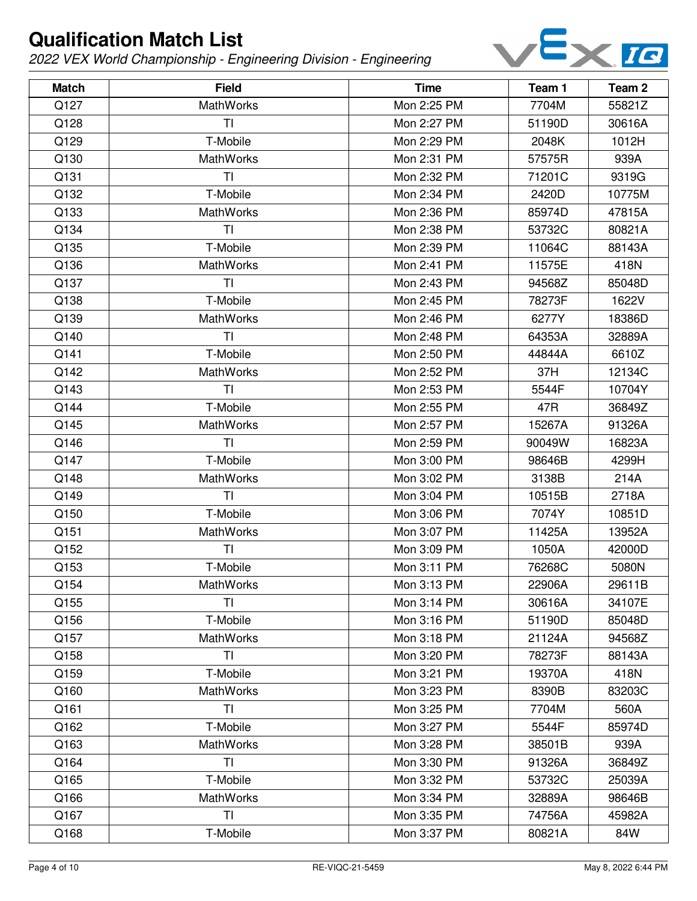

| <b>Match</b> | <b>Field</b>     | <b>Time</b> | Team 1 | Team <sub>2</sub> |
|--------------|------------------|-------------|--------|-------------------|
| Q127         | <b>MathWorks</b> | Mon 2:25 PM | 7704M  | 55821Z            |
| Q128         | ΤI               | Mon 2:27 PM | 51190D | 30616A            |
| Q129         | T-Mobile         | Mon 2:29 PM | 2048K  | 1012H             |
| Q130         | <b>MathWorks</b> | Mon 2:31 PM | 57575R | 939A              |
| Q131         | TI               | Mon 2:32 PM | 71201C | 9319G             |
| Q132         | T-Mobile         | Mon 2:34 PM | 2420D  | 10775M            |
| Q133         | MathWorks        | Mon 2:36 PM | 85974D | 47815A            |
| Q134         | TI               | Mon 2:38 PM | 53732C | 80821A            |
| Q135         | T-Mobile         | Mon 2:39 PM | 11064C | 88143A            |
| Q136         | MathWorks        | Mon 2:41 PM | 11575E | 418N              |
| Q137         | TI               | Mon 2:43 PM | 94568Z | 85048D            |
| Q138         | T-Mobile         | Mon 2:45 PM | 78273F | 1622V             |
| Q139         | MathWorks        | Mon 2:46 PM | 6277Y  | 18386D            |
| Q140         | <b>TI</b>        | Mon 2:48 PM | 64353A | 32889A            |
| Q141         | T-Mobile         | Mon 2:50 PM | 44844A | 6610Z             |
| Q142         | MathWorks        | Mon 2:52 PM | 37H    | 12134C            |
| Q143         | <b>TI</b>        | Mon 2:53 PM | 5544F  | 10704Y            |
| Q144         | T-Mobile         | Mon 2:55 PM | 47R    | 36849Z            |
| Q145         | MathWorks        | Mon 2:57 PM | 15267A | 91326A            |
| Q146         | TI               | Mon 2:59 PM | 90049W | 16823A            |
| Q147         | T-Mobile         | Mon 3:00 PM | 98646B | 4299H             |
| Q148         | MathWorks        | Mon 3:02 PM | 3138B  | 214A              |
| Q149         | TI               | Mon 3:04 PM | 10515B | 2718A             |
| Q150         | T-Mobile         | Mon 3:06 PM | 7074Y  | 10851D            |
| Q151         | MathWorks        | Mon 3:07 PM | 11425A | 13952A            |
| Q152         | TI               | Mon 3:09 PM | 1050A  | 42000D            |
| Q153         | T-Mobile         | Mon 3:11 PM | 76268C | 5080N             |
| Q154         | MathWorks        | Mon 3:13 PM | 22906A | 29611B            |
| Q155         | T <sub>l</sub>   | Mon 3:14 PM | 30616A | 34107E            |
| Q156         | T-Mobile         | Mon 3:16 PM | 51190D | 85048D            |
| Q157         | <b>MathWorks</b> | Mon 3:18 PM | 21124A | 94568Z            |
| Q158         | TI               | Mon 3:20 PM | 78273F | 88143A            |
| Q159         | T-Mobile         | Mon 3:21 PM | 19370A | 418N              |
| Q160         | <b>MathWorks</b> | Mon 3:23 PM | 8390B  | 83203C            |
| Q161         | TI               | Mon 3:25 PM | 7704M  | 560A              |
| Q162         | T-Mobile         | Mon 3:27 PM | 5544F  | 85974D            |
| Q163         | <b>MathWorks</b> | Mon 3:28 PM | 38501B | 939A              |
| Q164         | TI               | Mon 3:30 PM | 91326A | 36849Z            |
| Q165         | T-Mobile         | Mon 3:32 PM | 53732C | 25039A            |
| Q166         | MathWorks        | Mon 3:34 PM | 32889A | 98646B            |
| Q167         | TI               | Mon 3:35 PM | 74756A | 45982A            |
| Q168         | T-Mobile         | Mon 3:37 PM | 80821A | 84W               |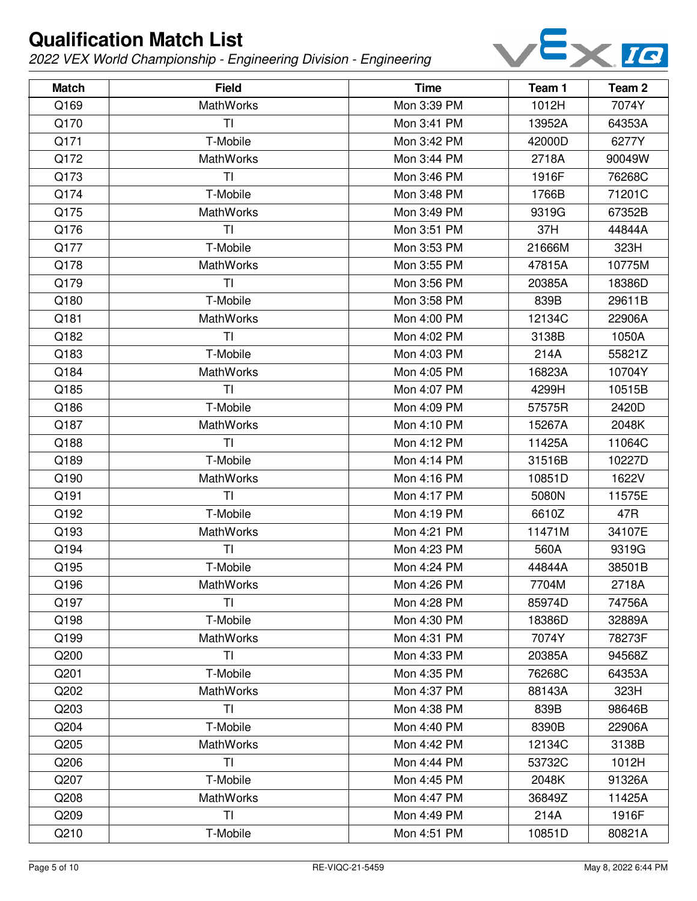

| <b>Match</b> | <b>Field</b>     | <b>Time</b> | Team 1 | Team <sub>2</sub> |
|--------------|------------------|-------------|--------|-------------------|
| Q169         | MathWorks        | Mon 3:39 PM | 1012H  | 7074Y             |
| Q170         | ΤI               | Mon 3:41 PM | 13952A | 64353A            |
| Q171         | T-Mobile         | Mon 3:42 PM | 42000D | 6277Y             |
| Q172         | MathWorks        | Mon 3:44 PM | 2718A  | 90049W            |
| Q173         | TI               | Mon 3:46 PM | 1916F  | 76268C            |
| Q174         | T-Mobile         | Mon 3:48 PM | 1766B  | 71201C            |
| Q175         | <b>MathWorks</b> | Mon 3:49 PM | 9319G  | 67352B            |
| Q176         | <b>TI</b>        | Mon 3:51 PM | 37H    | 44844A            |
| Q177         | T-Mobile         | Mon 3:53 PM | 21666M | 323H              |
| Q178         | MathWorks        | Mon 3:55 PM | 47815A | 10775M            |
| Q179         | <b>TI</b>        | Mon 3:56 PM | 20385A | 18386D            |
| Q180         | T-Mobile         | Mon 3:58 PM | 839B   | 29611B            |
| Q181         | <b>MathWorks</b> | Mon 4:00 PM | 12134C | 22906A            |
| Q182         | <b>TI</b>        | Mon 4:02 PM | 3138B  | 1050A             |
| Q183         | T-Mobile         | Mon 4:03 PM | 214A   | 55821Z            |
| Q184         | MathWorks        | Mon 4:05 PM | 16823A | 10704Y            |
| Q185         | T <sub>l</sub>   | Mon 4:07 PM | 4299H  | 10515B            |
| Q186         | T-Mobile         | Mon 4:09 PM | 57575R | 2420D             |
| Q187         | MathWorks        | Mon 4:10 PM | 15267A | 2048K             |
| Q188         | TI               | Mon 4:12 PM | 11425A | 11064C            |
| Q189         | T-Mobile         | Mon 4:14 PM | 31516B | 10227D            |
| Q190         | MathWorks        | Mon 4:16 PM | 10851D | 1622V             |
| Q191         | TI               | Mon 4:17 PM | 5080N  | 11575E            |
| Q192         | T-Mobile         | Mon 4:19 PM | 6610Z  | 47R               |
| Q193         | MathWorks        | Mon 4:21 PM | 11471M | 34107E            |
| Q194         | T <sub>l</sub>   | Mon 4:23 PM | 560A   | 9319G             |
| Q195         | T-Mobile         | Mon 4:24 PM | 44844A | 38501B            |
| Q196         | MathWorks        | Mon 4:26 PM | 7704M  | 2718A             |
| Q197         | <b>TI</b>        | Mon 4:28 PM | 85974D | 74756A            |
| Q198         | T-Mobile         | Mon 4:30 PM | 18386D | 32889A            |
| Q199         | <b>MathWorks</b> | Mon 4:31 PM | 7074Y  | 78273F            |
| Q200         | ΤI               | Mon 4:33 PM | 20385A | 94568Z            |
| Q201         | T-Mobile         | Mon 4:35 PM | 76268C | 64353A            |
| Q202         | <b>MathWorks</b> | Mon 4:37 PM | 88143A | 323H              |
| Q203         | TI               | Mon 4:38 PM | 839B   | 98646B            |
| Q204         | T-Mobile         | Mon 4:40 PM | 8390B  | 22906A            |
| Q205         | <b>MathWorks</b> | Mon 4:42 PM | 12134C | 3138B             |
| Q206         | TI               | Mon 4:44 PM | 53732C | 1012H             |
| Q207         | T-Mobile         | Mon 4:45 PM | 2048K  | 91326A            |
| Q208         | <b>MathWorks</b> | Mon 4:47 PM | 36849Z | 11425A            |
| Q209         | TI               | Mon 4:49 PM | 214A   | 1916F             |
| Q210         | T-Mobile         | Mon 4:51 PM | 10851D | 80821A            |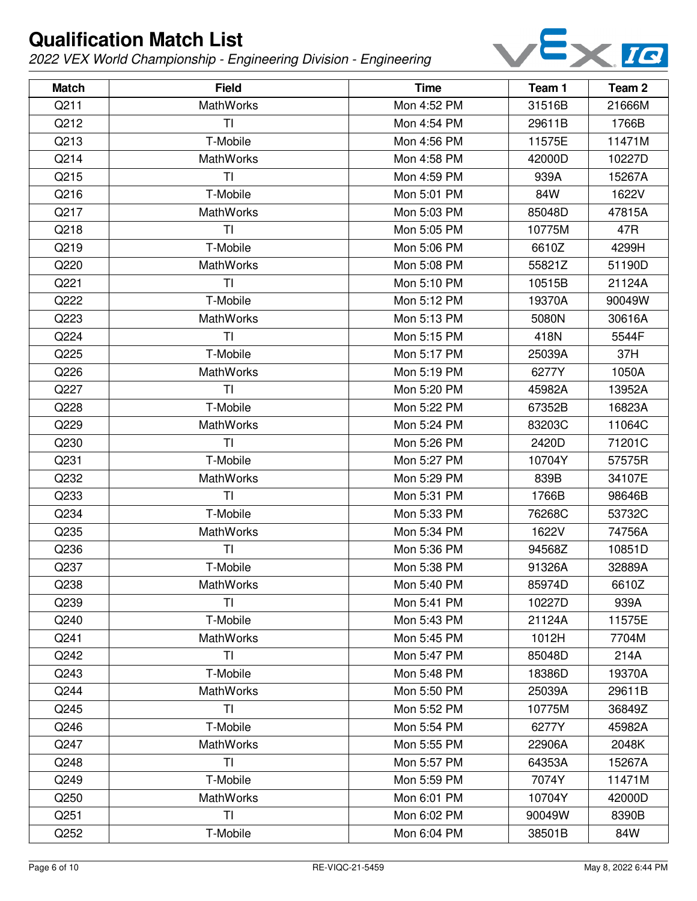

| <b>Match</b> | <b>Field</b>     | <b>Time</b> | Team 1 | Team <sub>2</sub> |
|--------------|------------------|-------------|--------|-------------------|
| Q211         | MathWorks        | Mon 4:52 PM | 31516B | 21666M            |
| Q212         | ΤI               | Mon 4:54 PM | 29611B | 1766B             |
| Q213         | T-Mobile         | Mon 4:56 PM | 11575E | 11471M            |
| Q214         | <b>MathWorks</b> | Mon 4:58 PM | 42000D | 10227D            |
| Q215         | TI               | Mon 4:59 PM | 939A   | 15267A            |
| Q216         | T-Mobile         | Mon 5:01 PM | 84W    | 1622V             |
| Q217         | MathWorks        | Mon 5:03 PM | 85048D | 47815A            |
| Q218         | TI               | Mon 5:05 PM | 10775M | 47R               |
| Q219         | T-Mobile         | Mon 5:06 PM | 6610Z  | 4299H             |
| Q220         | MathWorks        | Mon 5:08 PM | 55821Z | 51190D            |
| Q221         | TI               | Mon 5:10 PM | 10515B | 21124A            |
| Q222         | T-Mobile         | Mon 5:12 PM | 19370A | 90049W            |
| Q223         | MathWorks        | Mon 5:13 PM | 5080N  | 30616A            |
| Q224         | <b>TI</b>        | Mon 5:15 PM | 418N   | 5544F             |
| Q225         | T-Mobile         | Mon 5:17 PM | 25039A | 37H               |
| Q226         | MathWorks        | Mon 5:19 PM | 6277Y  | 1050A             |
| Q227         | TI               | Mon 5:20 PM | 45982A | 13952A            |
| Q228         | T-Mobile         | Mon 5:22 PM | 67352B | 16823A            |
| Q229         | MathWorks        | Mon 5:24 PM | 83203C | 11064C            |
| Q230         | TI               | Mon 5:26 PM | 2420D  | 71201C            |
| Q231         | T-Mobile         | Mon 5:27 PM | 10704Y | 57575R            |
| Q232         | MathWorks        | Mon 5:29 PM | 839B   | 34107E            |
| Q233         | TI               | Mon 5:31 PM | 1766B  | 98646B            |
| Q234         | T-Mobile         | Mon 5:33 PM | 76268C | 53732C            |
| Q235         | MathWorks        | Mon 5:34 PM | 1622V  | 74756A            |
| Q236         | TI               | Mon 5:36 PM | 94568Z | 10851D            |
| Q237         | T-Mobile         | Mon 5:38 PM | 91326A | 32889A            |
| Q238         | MathWorks        | Mon 5:40 PM | 85974D | 6610Z             |
| Q239         | <b>TI</b>        | Mon 5:41 PM | 10227D | 939A              |
| Q240         | T-Mobile         | Mon 5:43 PM | 21124A | 11575E            |
| Q241         | <b>MathWorks</b> | Mon 5:45 PM | 1012H  | 7704M             |
| Q242         | ΤI               | Mon 5:47 PM | 85048D | 214A              |
| Q243         | T-Mobile         | Mon 5:48 PM | 18386D | 19370A            |
| Q244         | MathWorks        | Mon 5:50 PM | 25039A | 29611B            |
| Q245         | TI               | Mon 5:52 PM | 10775M | 36849Z            |
| Q246         | T-Mobile         | Mon 5:54 PM | 6277Y  | 45982A            |
| Q247         | MathWorks        | Mon 5:55 PM | 22906A | 2048K             |
| Q248         | <b>TI</b>        | Mon 5:57 PM | 64353A | 15267A            |
| Q249         | T-Mobile         | Mon 5:59 PM | 7074Y  | 11471M            |
| Q250         | MathWorks        | Mon 6:01 PM | 10704Y | 42000D            |
| Q251         | TI               | Mon 6:02 PM | 90049W | 8390B             |
| Q252         | T-Mobile         | Mon 6:04 PM | 38501B | 84W               |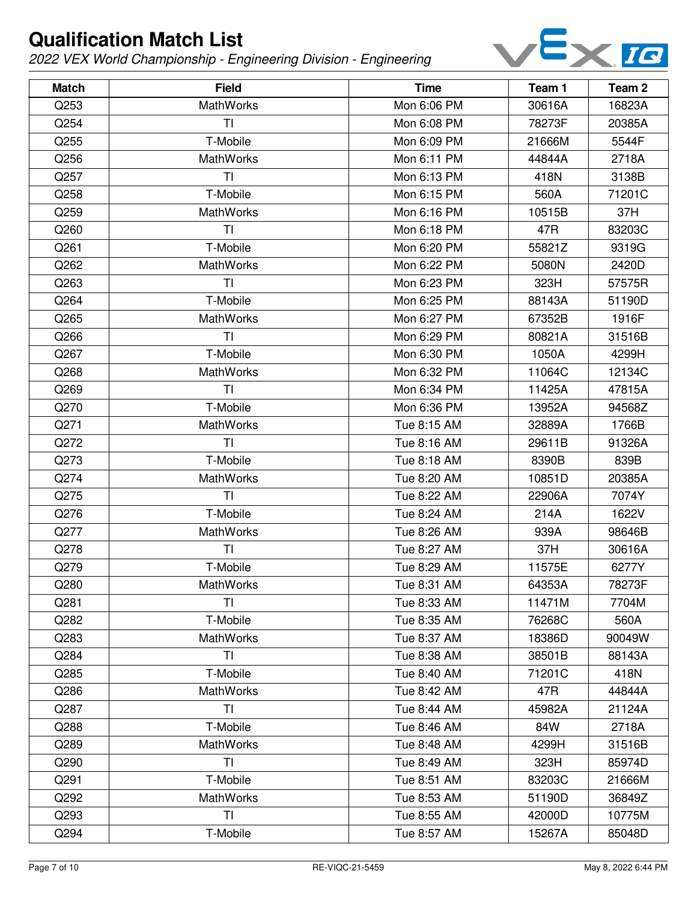

| <b>Match</b> | <b>Field</b>     | <b>Time</b> | Team 1 | Team <sub>2</sub> |
|--------------|------------------|-------------|--------|-------------------|
| Q253         | <b>MathWorks</b> | Mon 6:06 PM | 30616A | 16823A            |
| Q254         | ΤI               | Mon 6:08 PM | 78273F | 20385A            |
| Q255         | T-Mobile         | Mon 6:09 PM | 21666M | 5544F             |
| Q256         | <b>MathWorks</b> | Mon 6:11 PM | 44844A | 2718A             |
| Q257         | TI               | Mon 6:13 PM | 418N   | 3138B             |
| Q258         | T-Mobile         | Mon 6:15 PM | 560A   | 71201C            |
| Q259         | MathWorks        | Mon 6:16 PM | 10515B | 37H               |
| Q260         | TI               | Mon 6:18 PM | 47R    | 83203C            |
| Q261         | T-Mobile         | Mon 6:20 PM | 55821Z | 9319G             |
| Q262         | MathWorks        | Mon 6:22 PM | 5080N  | 2420D             |
| Q263         | TI               | Mon 6:23 PM | 323H   | 57575R            |
| Q264         | T-Mobile         | Mon 6:25 PM | 88143A | 51190D            |
| Q265         | MathWorks        | Mon 6:27 PM | 67352B | 1916F             |
| Q266         | <b>TI</b>        | Mon 6:29 PM | 80821A | 31516B            |
| Q267         | T-Mobile         | Mon 6:30 PM | 1050A  | 4299H             |
| Q268         | MathWorks        | Mon 6:32 PM | 11064C | 12134C            |
| Q269         | <b>TI</b>        | Mon 6:34 PM | 11425A | 47815A            |
| Q270         | T-Mobile         | Mon 6:36 PM | 13952A | 94568Z            |
| Q271         | MathWorks        | Tue 8:15 AM | 32889A | 1766B             |
| Q272         | TI               | Tue 8:16 AM | 29611B | 91326A            |
| Q273         | T-Mobile         | Tue 8:18 AM | 8390B  | 839B              |
| Q274         | MathWorks        | Tue 8:20 AM | 10851D | 20385A            |
| Q275         | TI               | Tue 8:22 AM | 22906A | 7074Y             |
| Q276         | T-Mobile         | Tue 8:24 AM | 214A   | 1622V             |
| Q277         | MathWorks        | Tue 8:26 AM | 939A   | 98646B            |
| Q278         | TI               | Tue 8:27 AM | 37H    | 30616A            |
| Q279         | T-Mobile         | Tue 8:29 AM | 11575E | 6277Y             |
| Q280         | MathWorks        | Tue 8:31 AM | 64353A | 78273F            |
| Q281         | TI               | Tue 8:33 AM | 11471M | 7704M             |
| Q282         | T-Mobile         | Tue 8:35 AM | 76268C | 560A              |
| Q283         | <b>MathWorks</b> | Tue 8:37 AM | 18386D | 90049W            |
| Q284         | TI               | Tue 8:38 AM | 38501B | 88143A            |
| Q285         | T-Mobile         | Tue 8:40 AM | 71201C | 418N              |
| Q286         | <b>MathWorks</b> | Tue 8:42 AM | 47R    | 44844A            |
| Q287         | TI               | Tue 8:44 AM | 45982A | 21124A            |
| Q288         | T-Mobile         | Tue 8:46 AM | 84W    | 2718A             |
| Q289         | <b>MathWorks</b> | Tue 8:48 AM | 4299H  | 31516B            |
| Q290         | TI               | Tue 8:49 AM | 323H   | 85974D            |
| Q291         | T-Mobile         | Tue 8:51 AM | 83203C | 21666M            |
| Q292         | MathWorks        | Tue 8:53 AM | 51190D | 36849Z            |
| Q293         | TI               | Tue 8:55 AM | 42000D | 10775M            |
| Q294         | T-Mobile         | Tue 8:57 AM | 15267A | 85048D            |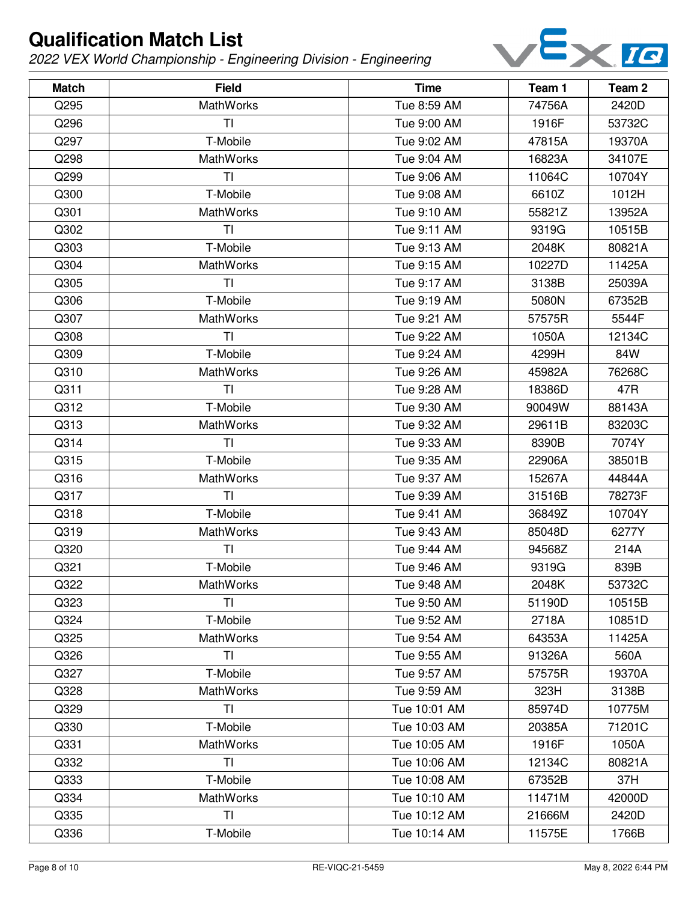

| <b>Match</b> | <b>Field</b>     | <b>Time</b>  | Team 1 | Team 2 |
|--------------|------------------|--------------|--------|--------|
| Q295         | MathWorks        | Tue 8:59 AM  | 74756A | 2420D  |
| Q296         | TI               | Tue 9:00 AM  | 1916F  | 53732C |
| Q297         | T-Mobile         | Tue 9:02 AM  | 47815A | 19370A |
| Q298         | MathWorks        | Tue 9:04 AM  | 16823A | 34107E |
| Q299         | TI               | Tue 9:06 AM  | 11064C | 10704Y |
| Q300         | T-Mobile         | Tue 9:08 AM  | 6610Z  | 1012H  |
| Q301         | <b>MathWorks</b> | Tue 9:10 AM  | 55821Z | 13952A |
| Q302         | ΤI               | Tue 9:11 AM  | 9319G  | 10515B |
| Q303         | T-Mobile         | Tue 9:13 AM  | 2048K  | 80821A |
| Q304         | <b>MathWorks</b> | Tue 9:15 AM  | 10227D | 11425A |
| Q305         | TI               | Tue 9:17 AM  | 3138B  | 25039A |
| Q306         | T-Mobile         | Tue 9:19 AM  | 5080N  | 67352B |
| Q307         | <b>MathWorks</b> | Tue 9:21 AM  | 57575R | 5544F  |
| Q308         | TI               | Tue 9:22 AM  | 1050A  | 12134C |
| Q309         | T-Mobile         | Tue 9:24 AM  | 4299H  | 84W    |
| Q310         | MathWorks        | Tue 9:26 AM  | 45982A | 76268C |
| Q311         | TI               | Tue 9:28 AM  | 18386D | 47R    |
| Q312         | T-Mobile         | Tue 9:30 AM  | 90049W | 88143A |
| Q313         | MathWorks        | Tue 9:32 AM  | 29611B | 83203C |
| Q314         | TI               | Tue 9:33 AM  | 8390B  | 7074Y  |
| Q315         | T-Mobile         | Tue 9:35 AM  | 22906A | 38501B |
| Q316         | <b>MathWorks</b> | Tue 9:37 AM  | 15267A | 44844A |
| Q317         | TI               | Tue 9:39 AM  | 31516B | 78273F |
| Q318         | T-Mobile         | Tue 9:41 AM  | 36849Z | 10704Y |
| Q319         | MathWorks        | Tue 9:43 AM  | 85048D | 6277Y  |
| Q320         | TI               | Tue 9:44 AM  | 94568Z | 214A   |
| Q321         | T-Mobile         | Tue 9:46 AM  | 9319G  | 839B   |
| Q322         | MathWorks        | Tue 9:48 AM  | 2048K  | 53732C |
| Q323         | TI               | Tue 9:50 AM  | 51190D | 10515B |
| Q324         | T-Mobile         | Tue 9:52 AM  | 2718A  | 10851D |
| Q325         | <b>MathWorks</b> | Tue 9:54 AM  | 64353A | 11425A |
| Q326         | TI               | Tue 9:55 AM  | 91326A | 560A   |
| Q327         | T-Mobile         | Tue 9:57 AM  | 57575R | 19370A |
| Q328         | <b>MathWorks</b> | Tue 9:59 AM  | 323H   | 3138B  |
| Q329         | ΤI               | Tue 10:01 AM | 85974D | 10775M |
| Q330         | T-Mobile         | Tue 10:03 AM | 20385A | 71201C |
| Q331         | <b>MathWorks</b> | Tue 10:05 AM | 1916F  | 1050A  |
| Q332         | ΤI               | Tue 10:06 AM | 12134C | 80821A |
| Q333         | T-Mobile         | Tue 10:08 AM | 67352B | 37H    |
| Q334         | <b>MathWorks</b> | Tue 10:10 AM | 11471M | 42000D |
| Q335         | TI               | Tue 10:12 AM | 21666M | 2420D  |
| Q336         | T-Mobile         | Tue 10:14 AM | 11575E | 1766B  |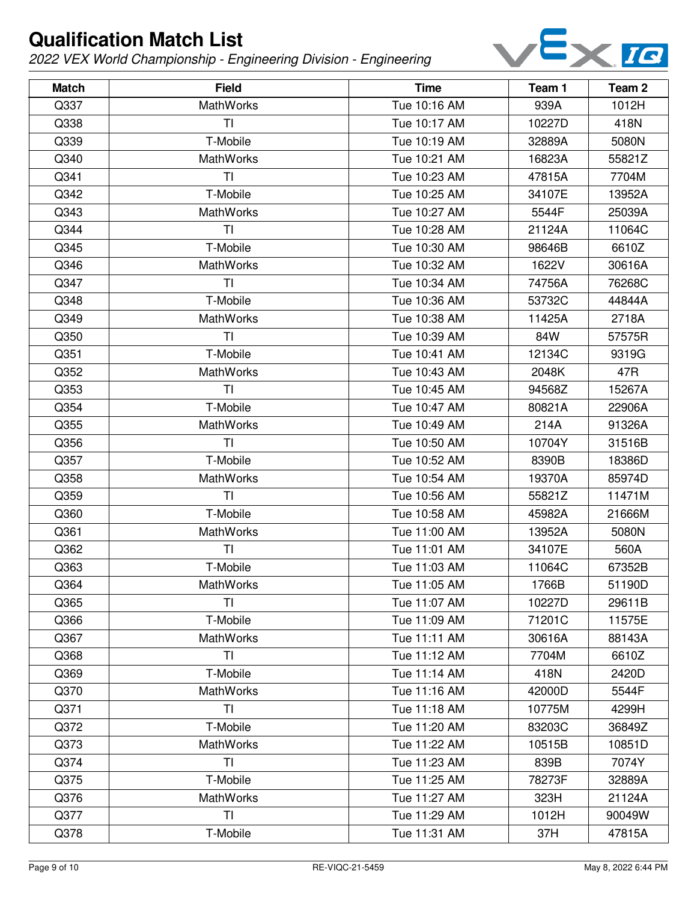

| <b>Match</b> | <b>Field</b>     | <b>Time</b>  | Team 1 | Team <sub>2</sub> |
|--------------|------------------|--------------|--------|-------------------|
| Q337         | <b>MathWorks</b> | Tue 10:16 AM | 939A   | 1012H             |
| Q338         | TI               | Tue 10:17 AM | 10227D | 418N              |
| Q339         | T-Mobile         | Tue 10:19 AM | 32889A | 5080N             |
| Q340         | <b>MathWorks</b> | Tue 10:21 AM | 16823A | 55821Z            |
| Q341         | ΤI               | Tue 10:23 AM | 47815A | 7704M             |
| Q342         | T-Mobile         | Tue 10:25 AM | 34107E | 13952A            |
| Q343         | <b>MathWorks</b> | Tue 10:27 AM | 5544F  | 25039A            |
| Q344         | TI               | Tue 10:28 AM | 21124A | 11064C            |
| Q345         | T-Mobile         | Tue 10:30 AM | 98646B | 6610Z             |
| Q346         | MathWorks        | Tue 10:32 AM | 1622V  | 30616A            |
| Q347         | T <sub>l</sub>   | Tue 10:34 AM | 74756A | 76268C            |
| Q348         | T-Mobile         | Tue 10:36 AM | 53732C | 44844A            |
| Q349         | <b>MathWorks</b> | Tue 10:38 AM | 11425A | 2718A             |
| Q350         | TI               | Tue 10:39 AM | 84W    | 57575R            |
| Q351         | T-Mobile         | Tue 10:41 AM | 12134C | 9319G             |
| Q352         | <b>MathWorks</b> | Tue 10:43 AM | 2048K  | 47R               |
| Q353         | TI               | Tue 10:45 AM | 94568Z | 15267A            |
| Q354         | T-Mobile         | Tue 10:47 AM | 80821A | 22906A            |
| Q355         | <b>MathWorks</b> | Tue 10:49 AM | 214A   | 91326A            |
| Q356         | TI               | Tue 10:50 AM | 10704Y | 31516B            |
| Q357         | T-Mobile         | Tue 10:52 AM | 8390B  | 18386D            |
| Q358         | MathWorks        | Tue 10:54 AM | 19370A | 85974D            |
| Q359         | T <sub>l</sub>   | Tue 10:56 AM | 55821Z | 11471M            |
| Q360         | T-Mobile         | Tue 10:58 AM | 45982A | 21666M            |
| Q361         | MathWorks        | Tue 11:00 AM | 13952A | 5080N             |
| Q362         | TI               | Tue 11:01 AM | 34107E | 560A              |
| Q363         | T-Mobile         | Tue 11:03 AM | 11064C | 67352B            |
| Q364         | MathWorks        | Tue 11:05 AM | 1766B  | 51190D            |
| Q365         | <b>TI</b>        | Tue 11:07 AM | 10227D | 29611B            |
| Q366         | T-Mobile         | Tue 11:09 AM | 71201C | 11575E            |
| Q367         | <b>MathWorks</b> | Tue 11:11 AM | 30616A | 88143A            |
| Q368         | TI               | Tue 11:12 AM | 7704M  | 6610Z             |
| Q369         | T-Mobile         | Tue 11:14 AM | 418N   | 2420D             |
| Q370         | <b>MathWorks</b> | Tue 11:16 AM | 42000D | 5544F             |
| Q371         | TI               | Tue 11:18 AM | 10775M | 4299H             |
| Q372         | T-Mobile         | Tue 11:20 AM | 83203C | 36849Z            |
| Q373         | <b>MathWorks</b> | Tue 11:22 AM | 10515B | 10851D            |
| Q374         | <b>TI</b>        | Tue 11:23 AM | 839B   | 7074Y             |
| Q375         | T-Mobile         | Tue 11:25 AM | 78273F | 32889A            |
| Q376         | <b>MathWorks</b> | Tue 11:27 AM | 323H   | 21124A            |
| Q377         | TI               | Tue 11:29 AM | 1012H  | 90049W            |
| Q378         | T-Mobile         | Tue 11:31 AM | 37H    | 47815A            |